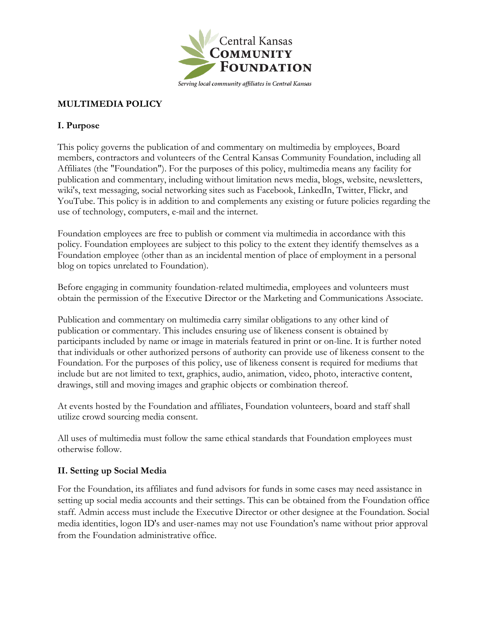

### **MULTIMEDIA POLICY**

#### **I. Purpose**

This policy governs the publication of and commentary on multimedia by employees, Board members, contractors and volunteers of the Central Kansas Community Foundation, including all Affiliates (the "Foundation"). For the purposes of this policy, multimedia means any facility for publication and commentary, including without limitation news media, blogs, website, newsletters, wiki's, text messaging, social networking sites such as Facebook, LinkedIn, Twitter, Flickr, and YouTube. This policy is in addition to and complements any existing or future policies regarding the use of technology, computers, e-mail and the internet.

Foundation employees are free to publish or comment via multimedia in accordance with this policy. Foundation employees are subject to this policy to the extent they identify themselves as a Foundation employee (other than as an incidental mention of place of employment in a personal blog on topics unrelated to Foundation).

Before engaging in community foundation-related multimedia, employees and volunteers must obtain the permission of the Executive Director or the Marketing and Communications Associate.

Publication and commentary on multimedia carry similar obligations to any other kind of publication or commentary. This includes ensuring use of likeness consent is obtained by participants included by name or image in materials featured in print or on-line. It is further noted that individuals or other authorized persons of authority can provide use of likeness consent to the Foundation. For the purposes of this policy, use of likeness consent is required for mediums that include but are not limited to text, graphics, audio, animation, video, photo, interactive content, drawings, still and moving images and graphic objects or combination thereof.

At events hosted by the Foundation and affiliates, Foundation volunteers, board and staff shall utilize crowd sourcing media consent.

All uses of multimedia must follow the same ethical standards that Foundation employees must otherwise follow.

### **II. Setting up Social Media**

For the Foundation, its affiliates and fund advisors for funds in some cases may need assistance in setting up social media accounts and their settings. This can be obtained from the Foundation office staff. Admin access must include the Executive Director or other designee at the Foundation. Social media identities, logon ID's and user-names may not use Foundation's name without prior approval from the Foundation administrative office.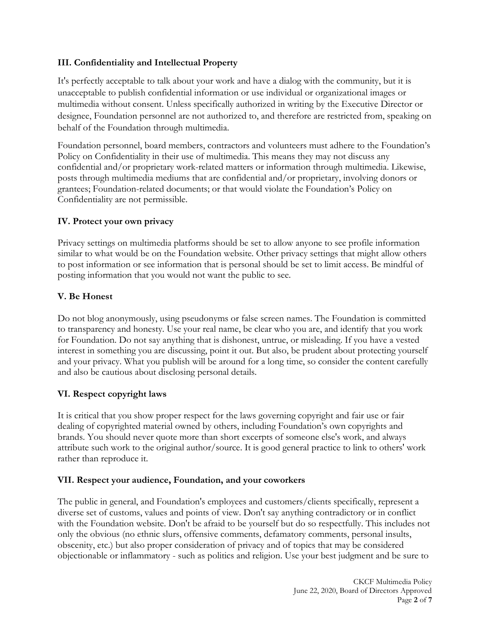### **III. Confidentiality and Intellectual Property**

It's perfectly acceptable to talk about your work and have a dialog with the community, but it is unacceptable to publish confidential information or use individual or organizational images or multimedia without consent. Unless specifically authorized in writing by the Executive Director or designee, Foundation personnel are not authorized to, and therefore are restricted from, speaking on behalf of the Foundation through multimedia.

Foundation personnel, board members, contractors and volunteers must adhere to the Foundation's Policy on Confidentiality in their use of multimedia. This means they may not discuss any confidential and/or proprietary work-related matters or information through multimedia. Likewise, posts through multimedia mediums that are confidential and/or proprietary, involving donors or grantees; Foundation-related documents; or that would violate the Foundation's Policy on Confidentiality are not permissible.

## **IV. Protect your own privacy**

Privacy settings on multimedia platforms should be set to allow anyone to see profile information similar to what would be on the Foundation website. Other privacy settings that might allow others to post information or see information that is personal should be set to limit access. Be mindful of posting information that you would not want the public to see.

## **V. Be Honest**

Do not blog anonymously, using pseudonyms or false screen names. The Foundation is committed to transparency and honesty. Use your real name, be clear who you are, and identify that you work for Foundation. Do not say anything that is dishonest, untrue, or misleading. If you have a vested interest in something you are discussing, point it out. But also, be prudent about protecting yourself and your privacy. What you publish will be around for a long time, so consider the content carefully and also be cautious about disclosing personal details.

# **VI. Respect copyright laws**

It is critical that you show proper respect for the laws governing copyright and fair use or fair dealing of copyrighted material owned by others, including Foundation's own copyrights and brands. You should never quote more than short excerpts of someone else's work, and always attribute such work to the original author/source. It is good general practice to link to others' work rather than reproduce it.

### **VII. Respect your audience, Foundation, and your coworkers**

The public in general, and Foundation's employees and customers/clients specifically, represent a diverse set of customs, values and points of view. Don't say anything contradictory or in conflict with the Foundation website. Don't be afraid to be yourself but do so respectfully. This includes not only the obvious (no ethnic slurs, offensive comments, defamatory comments, personal insults, obscenity, etc.) but also proper consideration of privacy and of topics that may be considered objectionable or inflammatory - such as politics and religion. Use your best judgment and be sure to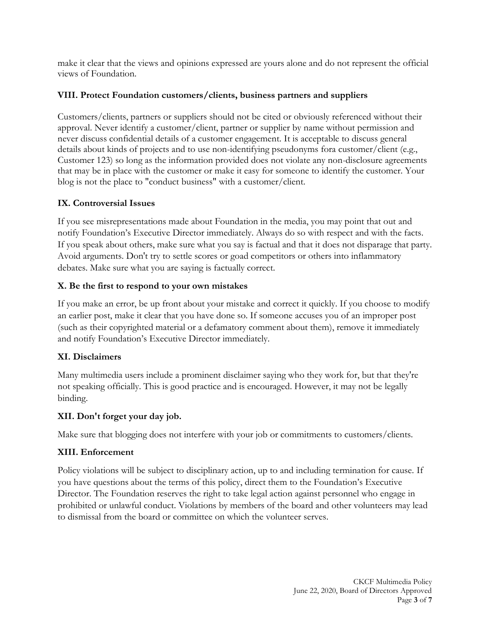make it clear that the views and opinions expressed are yours alone and do not represent the official views of Foundation.

### **VIII. Protect Foundation customers/clients, business partners and suppliers**

Customers/clients, partners or suppliers should not be cited or obviously referenced without their approval. Never identify a customer/client, partner or supplier by name without permission and never discuss confidential details of a customer engagement. It is acceptable to discuss general details about kinds of projects and to use non-identifying pseudonyms fora customer/client (e.g., Customer 123) so long as the information provided does not violate any non-disclosure agreements that may be in place with the customer or make it easy for someone to identify the customer. Your blog is not the place to "conduct business" with a customer/client.

## **IX. Controversial Issues**

If you see misrepresentations made about Foundation in the media, you may point that out and notify Foundation's Executive Director immediately. Always do so with respect and with the facts. If you speak about others, make sure what you say is factual and that it does not disparage that party. Avoid arguments. Don't try to settle scores or goad competitors or others into inflammatory debates. Make sure what you are saying is factually correct.

## **X. Be the first to respond to your own mistakes**

If you make an error, be up front about your mistake and correct it quickly. If you choose to modify an earlier post, make it clear that you have done so. If someone accuses you of an improper post (such as their copyrighted material or a defamatory comment about them), remove it immediately and notify Foundation's Executive Director immediately.

# **XI. Disclaimers**

Many multimedia users include a prominent disclaimer saying who they work for, but that they're not speaking officially. This is good practice and is encouraged. However, it may not be legally binding.

# **XII. Don't forget your day job.**

Make sure that blogging does not interfere with your job or commitments to customers/clients.

# **XIII. Enforcement**

Policy violations will be subject to disciplinary action, up to and including termination for cause. If you have questions about the terms of this policy, direct them to the Foundation's Executive Director. The Foundation reserves the right to take legal action against personnel who engage in prohibited or unlawful conduct. Violations by members of the board and other volunteers may lead to dismissal from the board or committee on which the volunteer serves.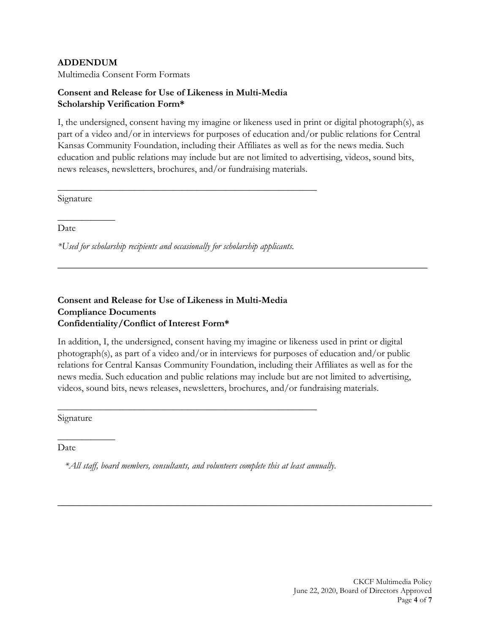#### **ADDENDUM**

Multimedia Consent Form Formats

### **Consent and Release for Use of Likeness in Multi-Media Scholarship Verification Form\***

I, the undersigned, consent having my imagine or likeness used in print or digital photograph(s), as part of a video and/or in interviews for purposes of education and/or public relations for Central Kansas Community Foundation, including their Affiliates as well as for the news media. Such education and public relations may include but are not limited to advertising, videos, sound bits, news releases, newsletters, brochures, and/or fundraising materials.

 $\mathcal{L} = \{ \mathcal{L} = \{ \mathcal{L} = \mathcal{L} \} \cup \{ \mathcal{L} = \{ \mathcal{L} = \mathcal{L} \} \cup \{ \mathcal{L} = \{ \mathcal{L} = \mathcal{L} \} \cup \{ \mathcal{L} = \{ \mathcal{L} = \mathcal{L} \} \cup \{ \mathcal{L} = \{ \mathcal{L} = \mathcal{L} \} \cup \{ \mathcal{L} = \{ \mathcal{L} = \mathcal{L} \} \cup \{ \mathcal{L} = \{ \mathcal{L} = \mathcal{L} \} \cup \{ \mathcal{L} = \{ \mathcal{L}$ 

Signature

 $\overline{\phantom{a}}$ 

Date

*\*Used for scholarship recipients and occasionally for scholarship applicants.*

\_\_\_\_\_\_\_\_\_\_\_\_\_\_\_\_\_\_\_\_\_\_\_\_\_\_\_\_\_\_\_\_\_\_\_\_\_\_\_\_\_\_\_\_\_\_\_\_\_\_\_\_\_\_

### **Consent and Release for Use of Likeness in Multi-Media Compliance Documents Confidentiality/Conflict of Interest Form\***

In addition, I, the undersigned, consent having my imagine or likeness used in print or digital photograph(s), as part of a video and/or in interviews for purposes of education and/or public relations for Central Kansas Community Foundation, including their Affiliates as well as for the news media. Such education and public relations may include but are not limited to advertising, videos, sound bits, news releases, newsletters, brochures, and/or fundraising materials.

\_\_\_\_\_\_\_\_\_\_\_\_\_\_\_\_\_\_\_\_\_\_\_\_\_\_\_\_\_\_\_\_\_\_\_\_\_\_\_\_\_\_\_\_\_\_\_\_\_\_\_\_\_\_\_\_\_\_\_\_\_\_\_\_\_\_\_\_\_\_\_\_\_\_\_\_\_\_

Signature

 $\overline{\phantom{a}}$  , where  $\overline{\phantom{a}}$ 

Date

*\*All staff, board members, consultants, and volunteers complete this at least annually.*

\_\_\_\_\_\_\_\_\_\_\_\_\_\_\_\_\_\_\_\_\_\_\_\_\_\_\_\_\_\_\_\_\_\_\_\_\_\_\_\_\_\_\_\_\_\_\_\_\_\_\_\_\_\_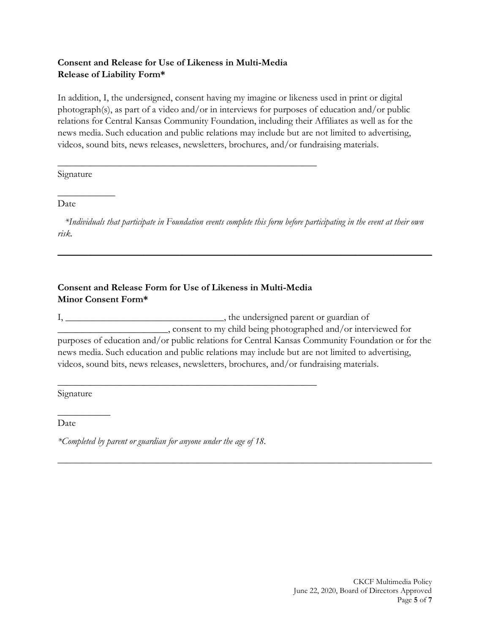### **Consent and Release for Use of Likeness in Multi-Media Release of Liability Form\***

In addition, I, the undersigned, consent having my imagine or likeness used in print or digital photograph(s), as part of a video and/or in interviews for purposes of education and/or public relations for Central Kansas Community Foundation, including their Affiliates as well as for the news media. Such education and public relations may include but are not limited to advertising, videos, sound bits, news releases, newsletters, brochures, and/or fundraising materials.

Signature

 $\overline{\phantom{a}}$ 

Date

*\*Individuals that participate in Foundation events complete this form before participating in the event at their own risk.*

\_\_\_\_\_\_\_\_\_\_\_\_\_\_\_\_\_\_\_\_\_\_\_\_\_\_\_\_\_\_\_\_\_\_\_\_\_\_\_\_\_\_\_\_\_\_\_\_\_\_\_\_\_\_\_\_\_\_\_\_\_\_\_\_\_\_\_\_\_\_\_\_\_\_\_\_\_\_

## **Consent and Release Form for Use of Likeness in Multi-Media Minor Consent Form\***

\_\_\_\_\_\_\_\_\_\_\_\_\_\_\_\_\_\_\_\_\_\_\_\_\_\_\_\_\_\_\_\_\_\_\_\_\_\_\_\_\_\_\_\_\_\_\_\_\_\_\_\_\_\_

\_\_\_\_\_\_\_\_\_\_\_\_\_\_\_\_\_\_\_\_\_\_\_\_\_\_\_\_\_\_\_\_\_\_\_\_\_\_\_\_\_\_\_\_\_\_\_\_\_\_\_\_\_\_

I, \_\_\_\_\_\_\_\_\_\_\_\_\_\_\_\_\_\_\_\_\_\_\_\_\_\_\_\_\_\_\_\_\_\_\_, the undersigned parent or guardian of \_\_\_\_\_\_\_\_\_\_\_\_\_\_\_\_\_\_\_\_\_\_\_, consent to my child being photographed and/or interviewed for purposes of education and/or public relations for Central Kansas Community Foundation or for the news media. Such education and public relations may include but are not limited to advertising, videos, sound bits, news releases, newsletters, brochures, and/or fundraising materials.

*\_\_\_\_\_\_\_\_\_\_\_\_\_\_\_\_\_\_\_\_\_\_\_\_\_\_\_\_\_\_\_\_\_\_\_\_\_\_\_\_\_\_\_\_\_\_\_\_\_\_\_\_\_\_\_\_\_\_\_\_\_\_\_\_\_\_\_\_\_\_\_\_\_\_\_\_\_\_*

Signature

 $\overline{\phantom{a}}$ 

Date

*\*Completed by parent or guardian for anyone under the age of 18.*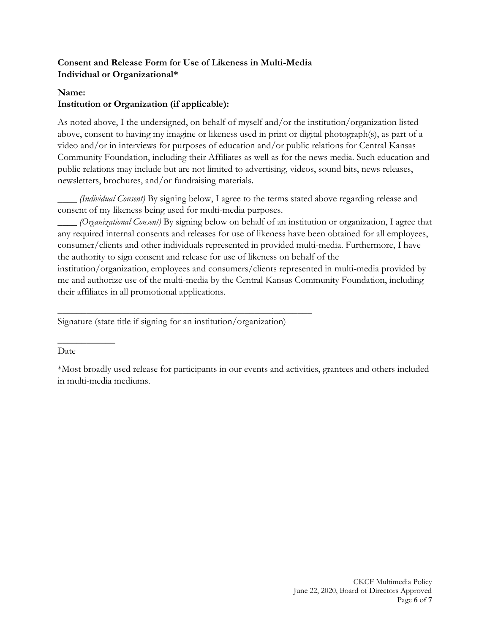# **Consent and Release Form for Use of Likeness in Multi-Media Individual or Organizational\***

### **Name:**

# **Institution or Organization (if applicable):**

As noted above, I the undersigned, on behalf of myself and/or the institution/organization listed above, consent to having my imagine or likeness used in print or digital photograph(s), as part of a video and/or in interviews for purposes of education and/or public relations for Central Kansas Community Foundation, including their Affiliates as well as for the news media. Such education and public relations may include but are not limited to advertising, videos, sound bits, news releases, newsletters, brochures, and/or fundraising materials.

\_\_\_\_ *(Individual Consent)* By signing below, I agree to the terms stated above regarding release and consent of my likeness being used for multi-media purposes.

\_\_\_\_ *(Organizational Consent)* By signing below on behalf of an institution or organization, I agree that any required internal consents and releases for use of likeness have been obtained for all employees, consumer/clients and other individuals represented in provided multi-media. Furthermore, I have the authority to sign consent and release for use of likeness on behalf of the institution/organization, employees and consumers/clients represented in multi-media provided by me and authorize use of the multi-media by the Central Kansas Community Foundation, including their affiliates in all promotional applications.

Signature (state title if signing for an institution/organization)

\_\_\_\_\_\_\_\_\_\_\_\_\_\_\_\_\_\_\_\_\_\_\_\_\_\_\_\_\_\_\_\_\_\_\_\_\_\_\_\_\_\_\_\_\_\_\_\_\_\_\_\_\_

#### Date

 $\overline{\phantom{a}}$ 

\*Most broadly used release for participants in our events and activities, grantees and others included in multi-media mediums.